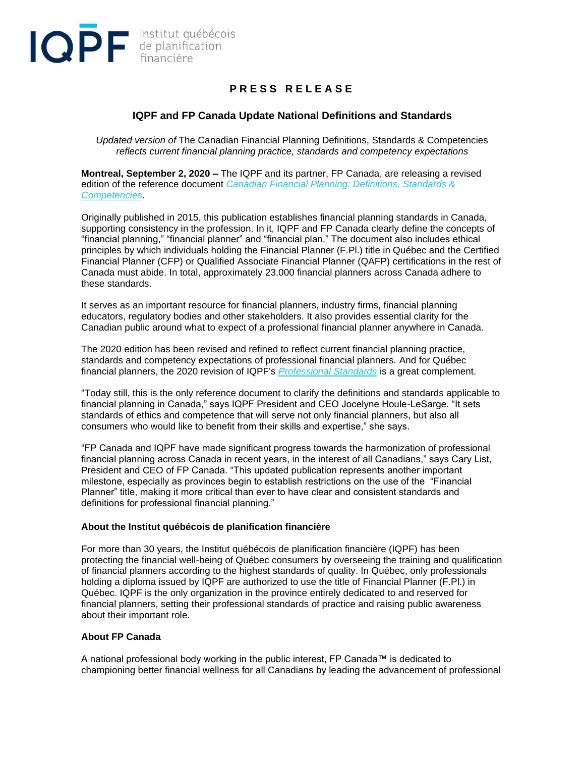

## **P R E S S R E L E A S E**

## **IQPF and FP Canada Update National Definitions and Standards**

*Updated version of* The Canadian Financial Planning Definitions, Standards & Competencies *reflects current financial planning practice, standards and competency expectations*

**Montreal, September 2, 2020 –** The IQPF and its partner, FP Canada, are releasing a revised edition of the reference document *[Canadian Financial Planning: Definitions, Standards &](https://www.iqpf.org/docs/default-source/ressources/IQPF-FPCanada-plan-fin-en.pdf)  [Competencies](https://www.iqpf.org/docs/default-source/ressources/IQPF-FPCanada-plan-fin-en.pdf)*.

Originally published in 2015, this publication establishes financial planning standards in Canada, supporting consistency in the profession. In it, IQPF and FP Canada clearly define the concepts of "financial planning," "financial planner" and "financial plan." The document also includes ethical principles by which individuals holding the Financial Planner (F.Pl.) title in Québec and the Certified Financial Planner (CFP) or Qualified Associate Financial Planner (QAFP) certifications in the rest of Canada must abide. In total, approximately 23,000 financial planners across Canada adhere to these standards.

It serves as an important resource for financial planners, industry firms, financial planning educators, regulatory bodies and other stakeholders. It also provides essential clarity for the Canadian public around what to expect of a professional financial planner anywhere in Canada.

The 2020 edition has been revised and refined to reflect current financial planning practice, standards and competency expectations of professional financial planners. And for Québec financial planners, the 2020 revision of IQPF's *[Professional Standards](https://www.iqpf.org/docs/default-source/outils/iqpf-normes-professionnelles-rev2020-eng.pdf?sfvrsn=2&oft_id=3994785&oft_k=iU9HDJQv&oft_lk=kmAwxu&oft_d=637323968860300000)* is a great complement.

"Today still, this is the only reference document to clarify the definitions and standards applicable to financial planning in Canada," says IQPF President and CEO Jocelyne Houle-LeSarge. "It sets standards of ethics and competence that will serve not only financial planners, but also all consumers who would like to benefit from their skills and expertise," she says.

"FP Canada and IQPF have made significant progress towards the harmonization of professional financial planning across Canada in recent years, in the interest of all Canadians," says Cary List, President and CEO of FP Canada. "This updated publication represents another important milestone, especially as provinces begin to establish restrictions on the use of the "Financial Planner" title, making it more critical than ever to have clear and consistent standards and definitions for professional financial planning."

## **About the Institut québécois de planification financière**

For more than 30 years, the Institut québécois de planification financière (IQPF) has been protecting the financial well-being of Québec consumers by overseeing the training and qualification of financial planners according to the highest standards of quality. In Québec, only professionals holding a diploma issued by IQPF are authorized to use the title of Financial Planner (F.Pl.) in Québec. IQPF is the only organization in the province entirely dedicated to and reserved for financial planners, setting their professional standards of practice and raising public awareness about their important role.

## **About FP Canada**

A national professional body working in the public interest, FP Canada™ is dedicated to championing better financial wellness for all Canadians by leading the advancement of professional